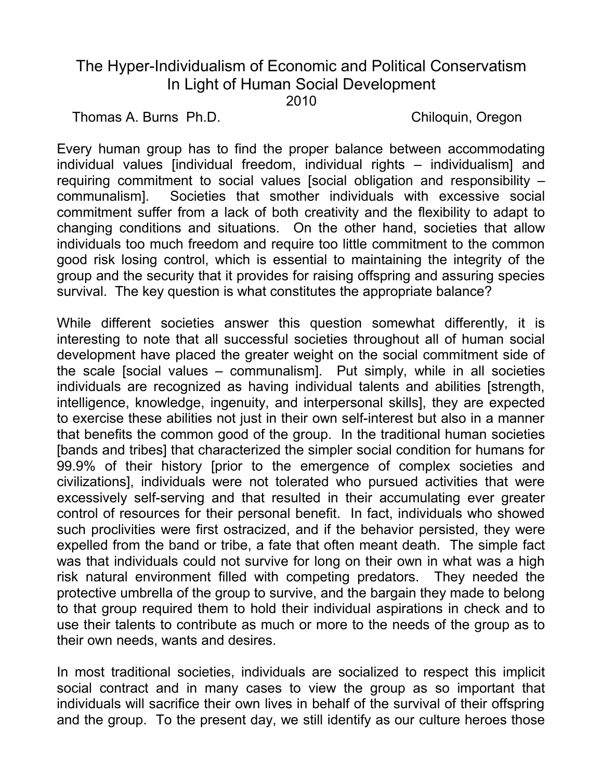## The Hyper-Individualism of Economic and Political Conservatism In Light of Human Social Development

2010

Thomas A. Burns Ph.D. Chiloquin, Oregon

Every human group has to find the proper balance between accommodating individual values [individual freedom, individual rights – individualism] and requiring commitment to social values [social obligation and responsibility – communalism]. Societies that smother individuals with excessive social commitment suffer from a lack of both creativity and the flexibility to adapt to changing conditions and situations. On the other hand, societies that allow individuals too much freedom and require too little commitment to the common good risk losing control, which is essential to maintaining the integrity of the group and the security that it provides for raising offspring and assuring species survival. The key question is what constitutes the appropriate balance?

While different societies answer this question somewhat differently, it is interesting to note that all successful societies throughout all of human social development have placed the greater weight on the social commitment side of the scale [social values – communalism]. Put simply, while in all societies individuals are recognized as having individual talents and abilities [strength, intelligence, knowledge, ingenuity, and interpersonal skills], they are expected to exercise these abilities not just in their own self-interest but also in a manner that benefits the common good of the group. In the traditional human societies [bands and tribes] that characterized the simpler social condition for humans for 99.9% of their history [prior to the emergence of complex societies and civilizations], individuals were not tolerated who pursued activities that were excessively self-serving and that resulted in their accumulating ever greater control of resources for their personal benefit. In fact, individuals who showed such proclivities were first ostracized, and if the behavior persisted, they were expelled from the band or tribe, a fate that often meant death. The simple fact was that individuals could not survive for long on their own in what was a high risk natural environment filled with competing predators. They needed the protective umbrella of the group to survive, and the bargain they made to belong to that group required them to hold their individual aspirations in check and to use their talents to contribute as much or more to the needs of the group as to their own needs, wants and desires.

In most traditional societies, individuals are socialized to respect this implicit social contract and in many cases to view the group as so important that individuals will sacrifice their own lives in behalf of the survival of their offspring and the group. To the present day, we still identify as our culture heroes those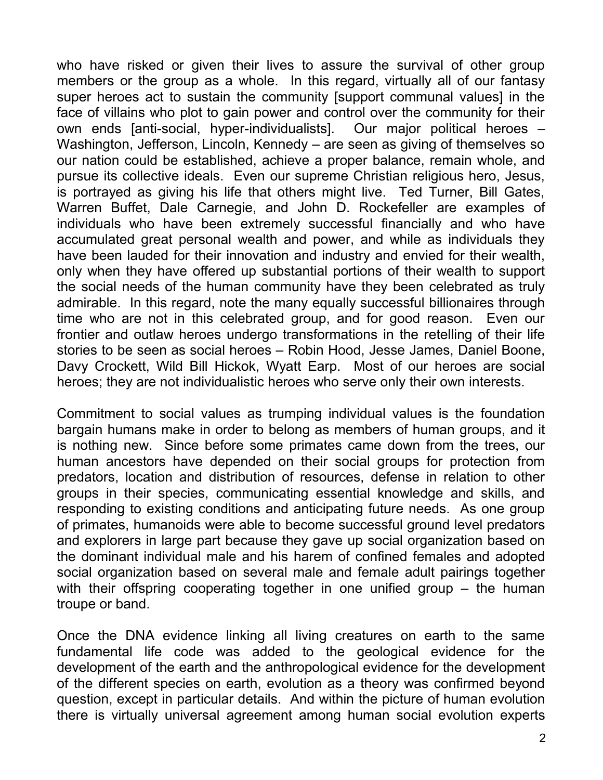who have risked or given their lives to assure the survival of other group members or the group as a whole. In this regard, virtually all of our fantasy super heroes act to sustain the community [support communal values] in the face of villains who plot to gain power and control over the community for their own ends [anti-social, hyper-individualists]. Our major political heroes – Washington, Jefferson, Lincoln, Kennedy – are seen as giving of themselves so our nation could be established, achieve a proper balance, remain whole, and pursue its collective ideals. Even our supreme Christian religious hero, Jesus, is portrayed as giving his life that others might live. Ted Turner, Bill Gates, Warren Buffet, Dale Carnegie, and John D. Rockefeller are examples of individuals who have been extremely successful financially and who have accumulated great personal wealth and power, and while as individuals they have been lauded for their innovation and industry and envied for their wealth, only when they have offered up substantial portions of their wealth to support the social needs of the human community have they been celebrated as truly admirable. In this regard, note the many equally successful billionaires through time who are not in this celebrated group, and for good reason. Even our frontier and outlaw heroes undergo transformations in the retelling of their life stories to be seen as social heroes – Robin Hood, Jesse James, Daniel Boone, Davy Crockett, Wild Bill Hickok, Wyatt Earp. Most of our heroes are social heroes; they are not individualistic heroes who serve only their own interests.

Commitment to social values as trumping individual values is the foundation bargain humans make in order to belong as members of human groups, and it is nothing new. Since before some primates came down from the trees, our human ancestors have depended on their social groups for protection from predators, location and distribution of resources, defense in relation to other groups in their species, communicating essential knowledge and skills, and responding to existing conditions and anticipating future needs. As one group of primates, humanoids were able to become successful ground level predators and explorers in large part because they gave up social organization based on the dominant individual male and his harem of confined females and adopted social organization based on several male and female adult pairings together with their offspring cooperating together in one unified group – the human troupe or band.

Once the DNA evidence linking all living creatures on earth to the same fundamental life code was added to the geological evidence for the development of the earth and the anthropological evidence for the development of the different species on earth, evolution as a theory was confirmed beyond question, except in particular details. And within the picture of human evolution there is virtually universal agreement among human social evolution experts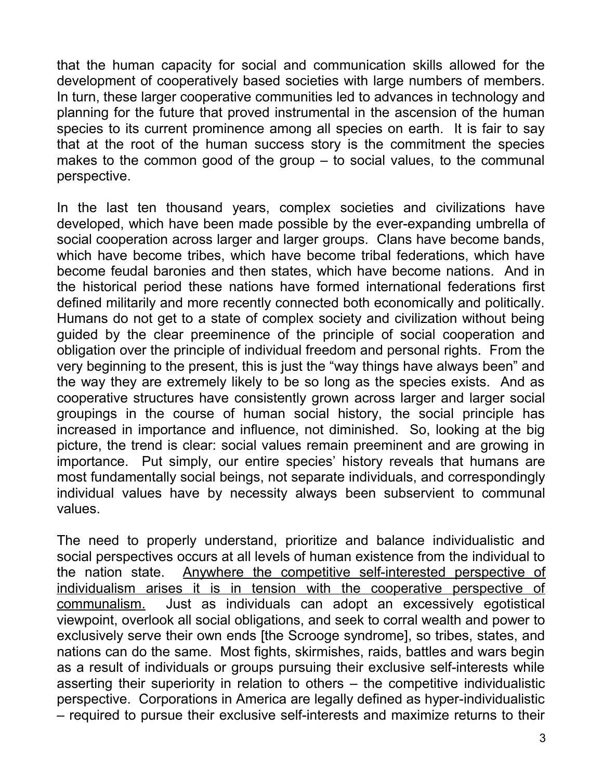that the human capacity for social and communication skills allowed for the development of cooperatively based societies with large numbers of members. In turn, these larger cooperative communities led to advances in technology and planning for the future that proved instrumental in the ascension of the human species to its current prominence among all species on earth. It is fair to say that at the root of the human success story is the commitment the species makes to the common good of the group – to social values, to the communal perspective.

In the last ten thousand years, complex societies and civilizations have developed, which have been made possible by the ever-expanding umbrella of social cooperation across larger and larger groups. Clans have become bands, which have become tribes, which have become tribal federations, which have become feudal baronies and then states, which have become nations. And in the historical period these nations have formed international federations first defined militarily and more recently connected both economically and politically. Humans do not get to a state of complex society and civilization without being guided by the clear preeminence of the principle of social cooperation and obligation over the principle of individual freedom and personal rights. From the very beginning to the present, this is just the "way things have always been" and the way they are extremely likely to be so long as the species exists. And as cooperative structures have consistently grown across larger and larger social groupings in the course of human social history, the social principle has increased in importance and influence, not diminished. So, looking at the big picture, the trend is clear: social values remain preeminent and are growing in importance. Put simply, our entire species' history reveals that humans are most fundamentally social beings, not separate individuals, and correspondingly individual values have by necessity always been subservient to communal values.

The need to properly understand, prioritize and balance individualistic and social perspectives occurs at all levels of human existence from the individual to the nation state. Anywhere the competitive self-interested perspective of individualism arises it is in tension with the cooperative perspective of communalism. Just as individuals can adopt an excessively egotistical viewpoint, overlook all social obligations, and seek to corral wealth and power to exclusively serve their own ends [the Scrooge syndrome], so tribes, states, and nations can do the same. Most fights, skirmishes, raids, battles and wars begin as a result of individuals or groups pursuing their exclusive self-interests while asserting their superiority in relation to others – the competitive individualistic perspective. Corporations in America are legally defined as hyper-individualistic – required to pursue their exclusive self-interests and maximize returns to their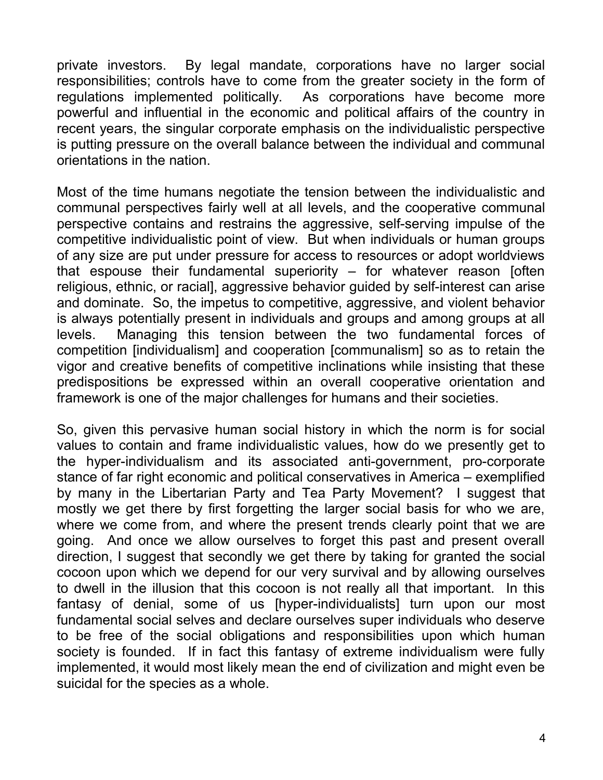private investors. By legal mandate, corporations have no larger social responsibilities; controls have to come from the greater society in the form of regulations implemented politically. As corporations have become more powerful and influential in the economic and political affairs of the country in recent years, the singular corporate emphasis on the individualistic perspective is putting pressure on the overall balance between the individual and communal orientations in the nation.

Most of the time humans negotiate the tension between the individualistic and communal perspectives fairly well at all levels, and the cooperative communal perspective contains and restrains the aggressive, self-serving impulse of the competitive individualistic point of view. But when individuals or human groups of any size are put under pressure for access to resources or adopt worldviews that espouse their fundamental superiority – for whatever reason [often religious, ethnic, or racial], aggressive behavior guided by self-interest can arise and dominate. So, the impetus to competitive, aggressive, and violent behavior is always potentially present in individuals and groups and among groups at all levels. Managing this tension between the two fundamental forces of competition [individualism] and cooperation [communalism] so as to retain the vigor and creative benefits of competitive inclinations while insisting that these predispositions be expressed within an overall cooperative orientation and framework is one of the major challenges for humans and their societies.

So, given this pervasive human social history in which the norm is for social values to contain and frame individualistic values, how do we presently get to the hyper-individualism and its associated anti-government, pro-corporate stance of far right economic and political conservatives in America – exemplified by many in the Libertarian Party and Tea Party Movement? I suggest that mostly we get there by first forgetting the larger social basis for who we are, where we come from, and where the present trends clearly point that we are going. And once we allow ourselves to forget this past and present overall direction, I suggest that secondly we get there by taking for granted the social cocoon upon which we depend for our very survival and by allowing ourselves to dwell in the illusion that this cocoon is not really all that important. In this fantasy of denial, some of us [hyper-individualists] turn upon our most fundamental social selves and declare ourselves super individuals who deserve to be free of the social obligations and responsibilities upon which human society is founded. If in fact this fantasy of extreme individualism were fully implemented, it would most likely mean the end of civilization and might even be suicidal for the species as a whole.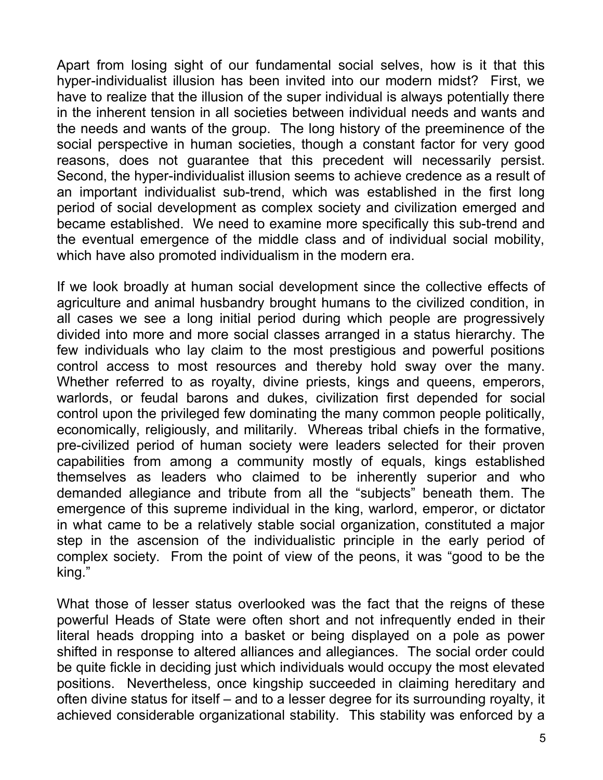Apart from losing sight of our fundamental social selves, how is it that this hyper-individualist illusion has been invited into our modern midst? First, we have to realize that the illusion of the super individual is always potentially there in the inherent tension in all societies between individual needs and wants and the needs and wants of the group. The long history of the preeminence of the social perspective in human societies, though a constant factor for very good reasons, does not guarantee that this precedent will necessarily persist. Second, the hyper-individualist illusion seems to achieve credence as a result of an important individualist sub-trend, which was established in the first long period of social development as complex society and civilization emerged and became established. We need to examine more specifically this sub-trend and the eventual emergence of the middle class and of individual social mobility, which have also promoted individualism in the modern era.

If we look broadly at human social development since the collective effects of agriculture and animal husbandry brought humans to the civilized condition, in all cases we see a long initial period during which people are progressively divided into more and more social classes arranged in a status hierarchy. The few individuals who lay claim to the most prestigious and powerful positions control access to most resources and thereby hold sway over the many. Whether referred to as royalty, divine priests, kings and queens, emperors, warlords, or feudal barons and dukes, civilization first depended for social control upon the privileged few dominating the many common people politically, economically, religiously, and militarily. Whereas tribal chiefs in the formative, pre-civilized period of human society were leaders selected for their proven capabilities from among a community mostly of equals, kings established themselves as leaders who claimed to be inherently superior and who demanded allegiance and tribute from all the "subjects" beneath them. The emergence of this supreme individual in the king, warlord, emperor, or dictator in what came to be a relatively stable social organization, constituted a major step in the ascension of the individualistic principle in the early period of complex society. From the point of view of the peons, it was "good to be the king."

What those of lesser status overlooked was the fact that the reigns of these powerful Heads of State were often short and not infrequently ended in their literal heads dropping into a basket or being displayed on a pole as power shifted in response to altered alliances and allegiances. The social order could be quite fickle in deciding just which individuals would occupy the most elevated positions. Nevertheless, once kingship succeeded in claiming hereditary and often divine status for itself – and to a lesser degree for its surrounding royalty, it achieved considerable organizational stability. This stability was enforced by a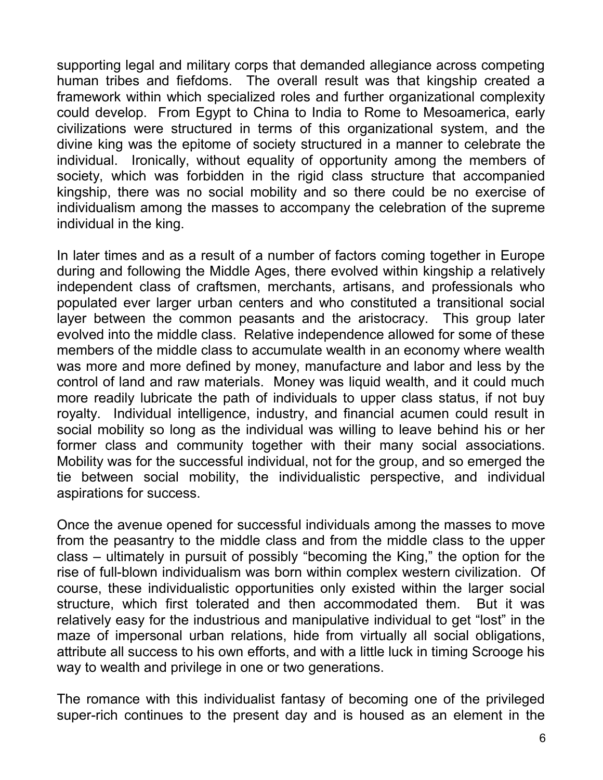supporting legal and military corps that demanded allegiance across competing human tribes and fiefdoms. The overall result was that kingship created a framework within which specialized roles and further organizational complexity could develop. From Egypt to China to India to Rome to Mesoamerica, early civilizations were structured in terms of this organizational system, and the divine king was the epitome of society structured in a manner to celebrate the individual. Ironically, without equality of opportunity among the members of society, which was forbidden in the rigid class structure that accompanied kingship, there was no social mobility and so there could be no exercise of individualism among the masses to accompany the celebration of the supreme individual in the king.

In later times and as a result of a number of factors coming together in Europe during and following the Middle Ages, there evolved within kingship a relatively independent class of craftsmen, merchants, artisans, and professionals who populated ever larger urban centers and who constituted a transitional social layer between the common peasants and the aristocracy. This group later evolved into the middle class. Relative independence allowed for some of these members of the middle class to accumulate wealth in an economy where wealth was more and more defined by money, manufacture and labor and less by the control of land and raw materials. Money was liquid wealth, and it could much more readily lubricate the path of individuals to upper class status, if not buy royalty. Individual intelligence, industry, and financial acumen could result in social mobility so long as the individual was willing to leave behind his or her former class and community together with their many social associations. Mobility was for the successful individual, not for the group, and so emerged the tie between social mobility, the individualistic perspective, and individual aspirations for success.

Once the avenue opened for successful individuals among the masses to move from the peasantry to the middle class and from the middle class to the upper class – ultimately in pursuit of possibly "becoming the King," the option for the rise of full-blown individualism was born within complex western civilization. Of course, these individualistic opportunities only existed within the larger social structure, which first tolerated and then accommodated them. But it was relatively easy for the industrious and manipulative individual to get "lost" in the maze of impersonal urban relations, hide from virtually all social obligations, attribute all success to his own efforts, and with a little luck in timing Scrooge his way to wealth and privilege in one or two generations.

The romance with this individualist fantasy of becoming one of the privileged super-rich continues to the present day and is housed as an element in the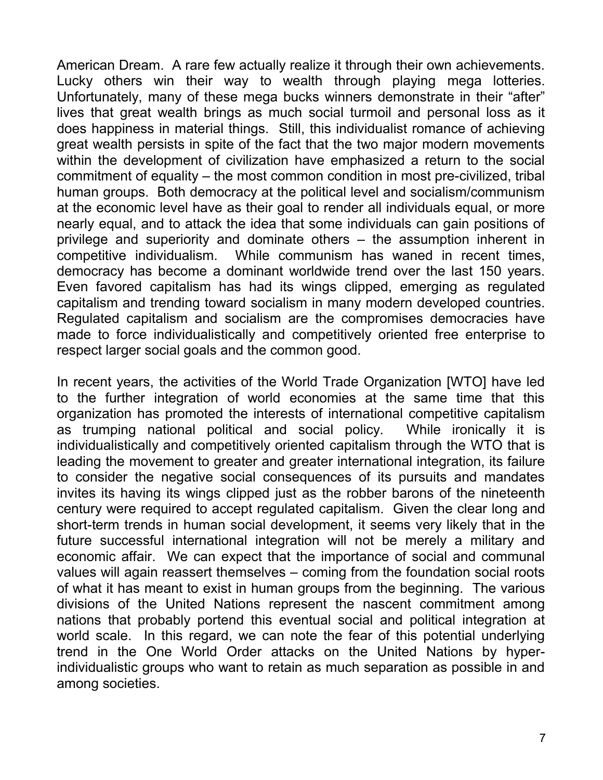American Dream. A rare few actually realize it through their own achievements. Lucky others win their way to wealth through playing mega lotteries. Unfortunately, many of these mega bucks winners demonstrate in their "after" lives that great wealth brings as much social turmoil and personal loss as it does happiness in material things. Still, this individualist romance of achieving great wealth persists in spite of the fact that the two major modern movements within the development of civilization have emphasized a return to the social commitment of equality – the most common condition in most pre-civilized, tribal human groups. Both democracy at the political level and socialism/communism at the economic level have as their goal to render all individuals equal, or more nearly equal, and to attack the idea that some individuals can gain positions of privilege and superiority and dominate others – the assumption inherent in competitive individualism. While communism has waned in recent times, democracy has become a dominant worldwide trend over the last 150 years. Even favored capitalism has had its wings clipped, emerging as regulated capitalism and trending toward socialism in many modern developed countries. Regulated capitalism and socialism are the compromises democracies have made to force individualistically and competitively oriented free enterprise to respect larger social goals and the common good.

In recent years, the activities of the World Trade Organization [WTO] have led to the further integration of world economies at the same time that this organization has promoted the interests of international competitive capitalism as trumping national political and social policy. While ironically it is individualistically and competitively oriented capitalism through the WTO that is leading the movement to greater and greater international integration, its failure to consider the negative social consequences of its pursuits and mandates invites its having its wings clipped just as the robber barons of the nineteenth century were required to accept regulated capitalism. Given the clear long and short-term trends in human social development, it seems very likely that in the future successful international integration will not be merely a military and economic affair. We can expect that the importance of social and communal values will again reassert themselves – coming from the foundation social roots of what it has meant to exist in human groups from the beginning. The various divisions of the United Nations represent the nascent commitment among nations that probably portend this eventual social and political integration at world scale. In this regard, we can note the fear of this potential underlying trend in the One World Order attacks on the United Nations by hyperindividualistic groups who want to retain as much separation as possible in and among societies.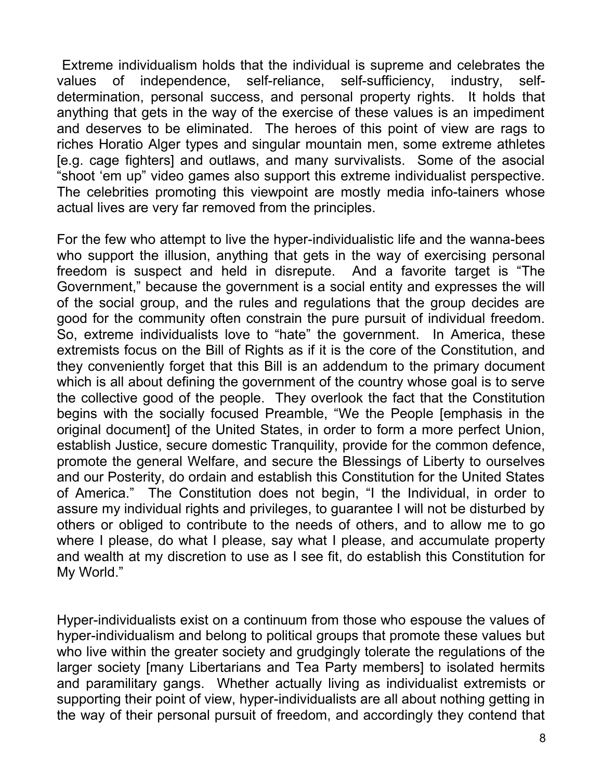Extreme individualism holds that the individual is supreme and celebrates the values of independence, self-reliance, self-sufficiency, industry, selfdetermination, personal success, and personal property rights. It holds that anything that gets in the way of the exercise of these values is an impediment and deserves to be eliminated. The heroes of this point of view are rags to riches Horatio Alger types and singular mountain men, some extreme athletes [e.g. cage fighters] and outlaws, and many survivalists. Some of the asocial "shoot 'em up" video games also support this extreme individualist perspective. The celebrities promoting this viewpoint are mostly media info-tainers whose actual lives are very far removed from the principles.

For the few who attempt to live the hyper-individualistic life and the wanna-bees who support the illusion, anything that gets in the way of exercising personal freedom is suspect and held in disrepute. And a favorite target is "The Government," because the government is a social entity and expresses the will of the social group, and the rules and regulations that the group decides are good for the community often constrain the pure pursuit of individual freedom. So, extreme individualists love to "hate" the government. In America, these extremists focus on the Bill of Rights as if it is the core of the Constitution, and they conveniently forget that this Bill is an addendum to the primary document which is all about defining the government of the country whose goal is to serve the collective good of the people. They overlook the fact that the Constitution begins with the socially focused Preamble, "We the People [emphasis in the original document] of the United States, in order to form a more perfect Union, establish Justice, secure domestic Tranquility, provide for the common defence, promote the general Welfare, and secure the Blessings of Liberty to ourselves and our Posterity, do ordain and establish this Constitution for the United States of America." The Constitution does not begin, "I the Individual, in order to assure my individual rights and privileges, to guarantee I will not be disturbed by others or obliged to contribute to the needs of others, and to allow me to go where I please, do what I please, say what I please, and accumulate property and wealth at my discretion to use as I see fit, do establish this Constitution for My World."

Hyper-individualists exist on a continuum from those who espouse the values of hyper-individualism and belong to political groups that promote these values but who live within the greater society and grudgingly tolerate the regulations of the larger society [many Libertarians and Tea Party members] to isolated hermits and paramilitary gangs. Whether actually living as individualist extremists or supporting their point of view, hyper-individualists are all about nothing getting in the way of their personal pursuit of freedom, and accordingly they contend that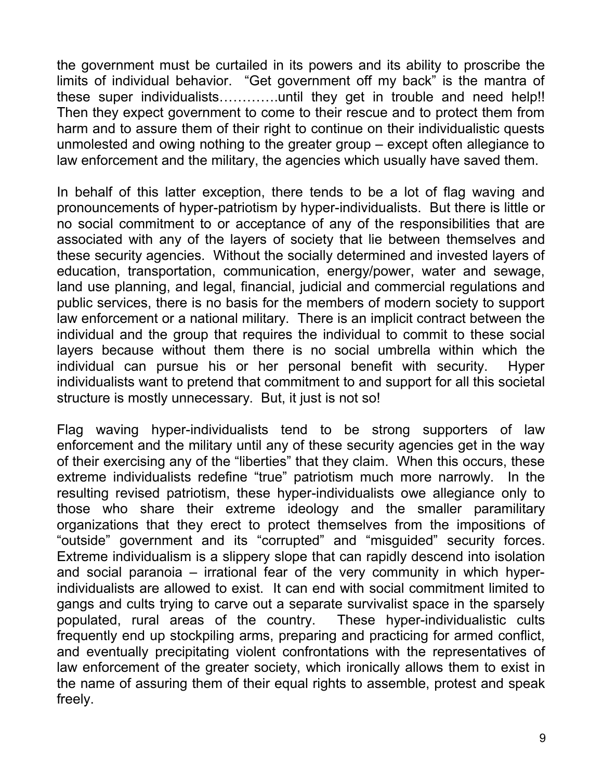the government must be curtailed in its powers and its ability to proscribe the limits of individual behavior. "Get government off my back" is the mantra of these super individualists………….until they get in trouble and need help!! Then they expect government to come to their rescue and to protect them from harm and to assure them of their right to continue on their individualistic quests unmolested and owing nothing to the greater group – except often allegiance to law enforcement and the military, the agencies which usually have saved them.

In behalf of this latter exception, there tends to be a lot of flag waving and pronouncements of hyper-patriotism by hyper-individualists. But there is little or no social commitment to or acceptance of any of the responsibilities that are associated with any of the layers of society that lie between themselves and these security agencies. Without the socially determined and invested layers of education, transportation, communication, energy/power, water and sewage, land use planning, and legal, financial, judicial and commercial regulations and public services, there is no basis for the members of modern society to support law enforcement or a national military. There is an implicit contract between the individual and the group that requires the individual to commit to these social layers because without them there is no social umbrella within which the individual can pursue his or her personal benefit with security. Hyper individualists want to pretend that commitment to and support for all this societal structure is mostly unnecessary. But, it just is not so!

Flag waving hyper-individualists tend to be strong supporters of law enforcement and the military until any of these security agencies get in the way of their exercising any of the "liberties" that they claim. When this occurs, these extreme individualists redefine "true" patriotism much more narrowly. In the resulting revised patriotism, these hyper-individualists owe allegiance only to those who share their extreme ideology and the smaller paramilitary organizations that they erect to protect themselves from the impositions of "outside" government and its "corrupted" and "misguided" security forces. Extreme individualism is a slippery slope that can rapidly descend into isolation and social paranoia – irrational fear of the very community in which hyperindividualists are allowed to exist. It can end with social commitment limited to gangs and cults trying to carve out a separate survivalist space in the sparsely populated, rural areas of the country. These hyper-individualistic cults frequently end up stockpiling arms, preparing and practicing for armed conflict, and eventually precipitating violent confrontations with the representatives of law enforcement of the greater society, which ironically allows them to exist in the name of assuring them of their equal rights to assemble, protest and speak freely.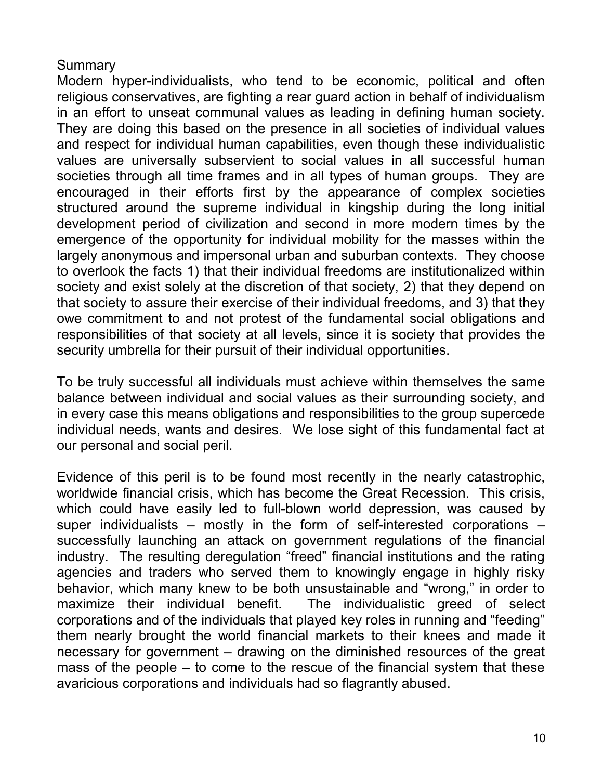## **Summary**

Modern hyper-individualists, who tend to be economic, political and often religious conservatives, are fighting a rear guard action in behalf of individualism in an effort to unseat communal values as leading in defining human society. They are doing this based on the presence in all societies of individual values and respect for individual human capabilities, even though these individualistic values are universally subservient to social values in all successful human societies through all time frames and in all types of human groups. They are encouraged in their efforts first by the appearance of complex societies structured around the supreme individual in kingship during the long initial development period of civilization and second in more modern times by the emergence of the opportunity for individual mobility for the masses within the largely anonymous and impersonal urban and suburban contexts. They choose to overlook the facts 1) that their individual freedoms are institutionalized within society and exist solely at the discretion of that society, 2) that they depend on that society to assure their exercise of their individual freedoms, and 3) that they owe commitment to and not protest of the fundamental social obligations and responsibilities of that society at all levels, since it is society that provides the security umbrella for their pursuit of their individual opportunities.

To be truly successful all individuals must achieve within themselves the same balance between individual and social values as their surrounding society, and in every case this means obligations and responsibilities to the group supercede individual needs, wants and desires. We lose sight of this fundamental fact at our personal and social peril.

Evidence of this peril is to be found most recently in the nearly catastrophic, worldwide financial crisis, which has become the Great Recession. This crisis, which could have easily led to full-blown world depression, was caused by super individualists – mostly in the form of self-interested corporations – successfully launching an attack on government regulations of the financial industry. The resulting deregulation "freed" financial institutions and the rating agencies and traders who served them to knowingly engage in highly risky behavior, which many knew to be both unsustainable and "wrong," in order to maximize their individual benefit. The individualistic greed of select corporations and of the individuals that played key roles in running and "feeding" them nearly brought the world financial markets to their knees and made it necessary for government – drawing on the diminished resources of the great mass of the people – to come to the rescue of the financial system that these avaricious corporations and individuals had so flagrantly abused.